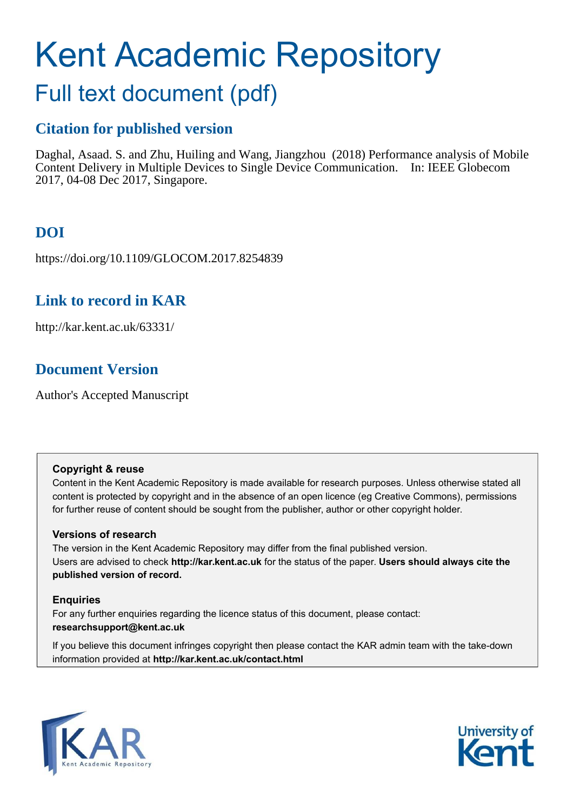# Kent Academic Repository

# Full text document (pdf)

## **Citation for published version**

Daghal, Asaad. S. and Zhu, Huiling and Wang, Jiangzhou (2018) Performance analysis of Mobile Content Delivery in Multiple Devices to Single Device Communication. In: IEEE Globecom 2017, 04-08 Dec 2017, Singapore.

# **DOI**

https://doi.org/10.1109/GLOCOM.2017.8254839

## **Link to record in KAR**

http://kar.kent.ac.uk/63331/

## **Document Version**

Author's Accepted Manuscript

#### **Copyright & reuse**

Content in the Kent Academic Repository is made available for research purposes. Unless otherwise stated all content is protected by copyright and in the absence of an open licence (eg Creative Commons), permissions for further reuse of content should be sought from the publisher, author or other copyright holder.

#### **Versions of research**

The version in the Kent Academic Repository may differ from the final published version. Users are advised to check **http://kar.kent.ac.uk** for the status of the paper. **Users should always cite the published version of record.**

#### **Enquiries**

For any further enquiries regarding the licence status of this document, please contact: **researchsupport@kent.ac.uk**

If you believe this document infringes copyright then please contact the KAR admin team with the take-down information provided at **http://kar.kent.ac.uk/contact.html**



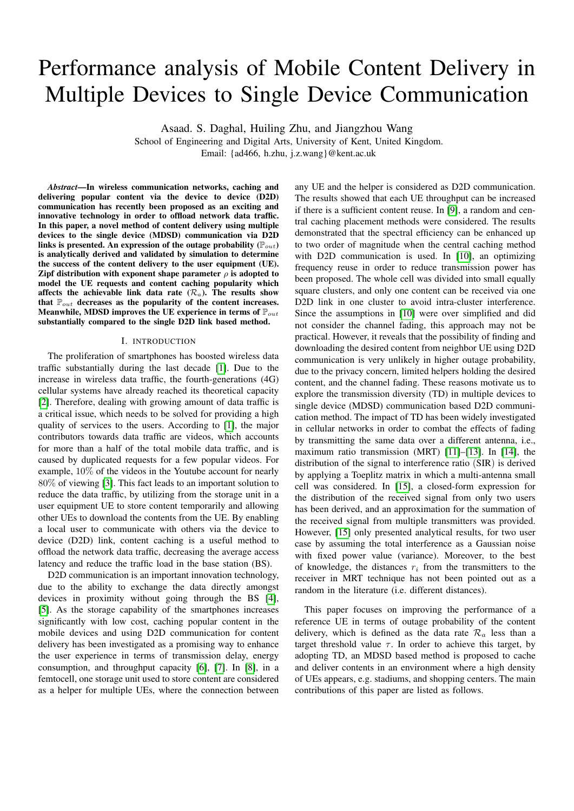# Performance analysis of Mobile Content Delivery in Multiple Devices to Single Device Communication

Asaad. S. Daghal, Huiling Zhu, and Jiangzhou Wang

School of Engineering and Digital Arts, University of Kent, United Kingdom. Email: {ad466, h.zhu, j.z.wang}@kent.ac.uk

*Abstract*—In wireless communication networks, caching and delivering popular content via the device to device (D2D) communication has recently been proposed as an exciting and innovative technology in order to offload network data traffic. In this paper, a novel method of content delivery using multiple devices to the single device (MDSD) communication via D2D links is presented. An expression of the outage probability  $(\mathbb{P}_{out})$ is analytically derived and validated by simulation to determine the success of the content delivery to the user equipment (UE). Zipf distribution with exponent shape parameter  $\rho$  is adopted to model the UE requests and content caching popularity which affects the achievable link data rate  $(\mathcal{R}_a)$ . The results show that  $\mathbb{P}_{out}$  decreases as the popularity of the content increases. Meanwhile, MDSD improves the UE experience in terms of  $\mathbb{P}_{out}$ substantially compared to the single D2D link based method.

#### I. INTRODUCTION

<span id="page-1-1"></span><span id="page-1-0"></span>The proliferation of smartphones has boosted wireless data traffic substantially during the last decade [\[1\]](#page-6-0). Due to the increase in wireless data traffic, the fourth-generations (4G) cellular systems have already reached its theoretical capacity [\[2\]](#page-6-1). Therefore, dealing with growing amount of data traffic is a critical issue, which needs to be solved for providing a high quality of services to the users. According to [\[1\]](#page-6-0), the major contributors towards data traffic are videos, which accounts for more than a half of the total mobile data traffic, and is caused by duplicated requests for a few popular videos. For example, 10% of the videos in the Youtube account for nearly 80% of viewing [\[3\]](#page-6-2). This fact leads to an important solution to reduce the data traffic, by utilizing from the storage unit in a user equipment UE to store content temporarily and allowing other UEs to download the contents from the UE. By enabling a local user to communicate with others via the device to device (D2D) link, content caching is a useful method to offload the network data traffic, decreasing the average access latency and reduce the traffic load in the base station (BS).

D2D communication is an important innovation technology, due to the ability to exchange the data directly amongst devices in proximity without going through the BS [\[4\]](#page-6-3), [\[5\]](#page-6-4). As the storage capability of the smartphones increases significantly with low cost, caching popular content in the mobile devices and using D2D communication for content delivery has been investigated as a promising way to enhance the user experience in terms of transmission delay, energy consumption, and throughput capacity [\[6\]](#page-6-5), [\[7\]](#page-6-6). In [\[8\]](#page-6-7), in a femtocell, one storage unit used to store content are considered as a helper for multiple UEs, where the connection between any UE and the helper is considered as D2D communication. The results showed that each UE throughput can be increased if there is a sufficient content reuse. In [\[9\]](#page-6-8), a random and central caching placement methods were considered. The results demonstrated that the spectral efficiency can be enhanced up to two order of magnitude when the central caching method with D2D communication is used. In [\[10\]](#page-6-9), an optimizing frequency reuse in order to reduce transmission power has been proposed. The whole cell was divided into small equally square clusters, and only one content can be received via one D2D link in one cluster to avoid intra-cluster interference. Since the assumptions in [\[10\]](#page-6-9) were over simplified and did not consider the channel fading, this approach may not be practical. However, it reveals that the possibility of finding and downloading the desired content from neighbor UE using D2D communication is very unlikely in higher outage probability, due to the privacy concern, limited helpers holding the desired content, and the channel fading. These reasons motivate us to explore the transmission diversity (TD) in multiple devices to single device (MDSD) communication based D2D communication method. The impact of TD has been widely investigated in cellular networks in order to combat the effects of fading by transmitting the same data over a different antenna, i.e., maximum ratio transmission (MRT) [\[11\]](#page-6-10)–[\[13\]](#page-6-11). In [\[14\]](#page-6-12), the distribution of the signal to interference ratio (SIR) is derived by applying a Toeplitz matrix in which a multi-antenna small cell was considered. In [\[15\]](#page-6-13), a closed-form expression for the distribution of the received signal from only two users has been derived, and an approximation for the summation of the received signal from multiple transmitters was provided. However, [\[15\]](#page-6-13) only presented analytical results, for two user case by assuming the total interference as a Gaussian noise with fixed power value (variance). Moreover, to the best of knowledge, the distances  $r_i$  from the transmitters to the receiver in MRT technique has not been pointed out as a random in the literature (i.e. different distances).

This paper focuses on improving the performance of a reference UE in terms of outage probability of the content delivery, which is defined as the data rate  $\mathcal{R}_a$  less than a target threshold value  $\tau$ . In order to achieve this target, by adopting TD, an MDSD based method is proposed to cache and deliver contents in an environment where a high density of UEs appears, e.g. stadiums, and shopping centers. The main contributions of this paper are listed as follows.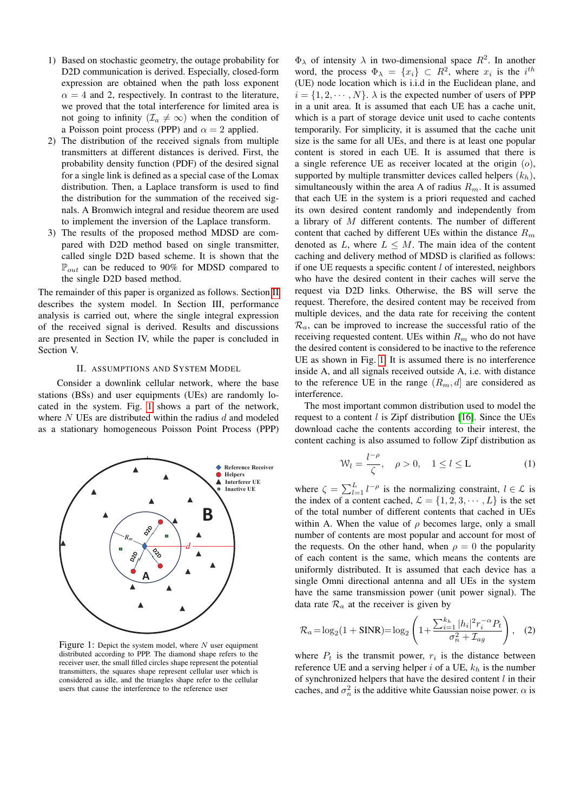- 1) Based on stochastic geometry, the outage probability for D2D communication is derived. Especially, closed-form expression are obtained when the path loss exponent  $\alpha = 4$  and 2, respectively. In contrast to the literature, we proved that the total interference for limited area is not going to infinity ( $\mathcal{I}_a \neq \infty$ ) when the condition of a Poisson point process (PPP) and  $\alpha = 2$  applied.
- 2) The distribution of the received signals from multiple transmitters at different distances is derived. First, the probability density function (PDF) of the desired signal for a single link is defined as a special case of the Lomax distribution. Then, a Laplace transform is used to find the distribution for the summation of the received signals. A Bromwich integral and residue theorem are used to implement the inversion of the Laplace transform.
- 3) The results of the proposed method MDSD are compared with D2D method based on single transmitter, called single D2D based scheme. It is shown that the  $\mathbb{P}_{out}$  can be reduced to 90% for MDSD compared to the single D2D based method.

The remainder of this paper is organized as follows. Section [II](#page-1-0) describes the system model. In Section III, performance analysis is carried out, where the single integral expression of the received signal is derived. Results and discussions are presented in Section IV, while the paper is concluded in Section V.

#### II. ASSUMPTIONS AND SYSTEM MODEL

Consider a downlink cellular network, where the base stations (BSs) and user equipments (UEs) are randomly located in the system. Fig. [1](#page-1-1) shows a part of the network, where  $N$  UEs are distributed within the radius  $d$  and modeled as a stationary homogeneous Poisson Point Process (PPP)



Figure 1: Depict the system model, where  $N$  user equipment distributed according to PPP. The diamond shape refers to the receiver user, the small filled circles shape represent the potential transmitters, the squares shape represent cellular user which is considered as idle, and the triangles shape refer to the cellular users that cause the interference to the reference user

 $\Phi_{\lambda}$  of intensity  $\lambda$  in two-dimensional space  $R^2$ . In another word, the process  $\Phi_{\lambda} = \{x_i\} \subset R^2$ , where  $x_i$  is the  $i^{th}$ (UE) node location which is i.i.d in the Euclidean plane, and  $i = \{1, 2, \dots, N\}$ .  $\lambda$  is the expected number of users of PPP in a unit area. It is assumed that each UE has a cache unit, which is a part of storage device unit used to cache contents temporarily. For simplicity, it is assumed that the cache unit size is the same for all UEs, and there is at least one popular content is stored in each UE. It is assumed that there is a single reference UE as receiver located at the origin  $(o)$ , supported by multiple transmitter devices called helpers  $(k_h)$ , simultaneously within the area A of radius  $R_m$ . It is assumed that each UE in the system is a priori requested and cached its own desired content randomly and independently from a library of M different contents. The number of different content that cached by different UEs within the distance  $R_m$ denoted as L, where  $L \leq M$ . The main idea of the content caching and delivery method of MDSD is clarified as follows: if one UE requests a specific content  $l$  of interested, neighbors who have the desired content in their caches will serve the request via D2D links. Otherwise, the BS will serve the request. Therefore, the desired content may be received from multiple devices, and the data rate for receiving the content  $\mathcal{R}_a$ , can be improved to increase the successful ratio of the receiving requested content. UEs within  $R_m$  who do not have the desired content is considered to be inactive to the reference UE as shown in Fig. [1.](#page-1-1) It is assumed there is no interference inside A, and all signals received outside A, i.e. with distance to the reference UE in the range  $(R_m, d]$  are considered as interference.

The most important common distribution used to model the request to a content  $l$  is Zipf distribution [\[16\]](#page-6-14). Since the UEs download cache the contents according to their interest, the content caching is also assumed to follow Zipf distribution as

$$
\mathcal{W}_l = \frac{l^{-\rho}}{\zeta}, \quad \rho > 0, \quad 1 \le l \le L \tag{1}
$$

where  $\zeta = \sum_{l=1}^{L} l^{-\rho}$  is the normalizing constraint,  $l \in \mathcal{L}$  is the index of a content cached,  $\mathcal{L} = \{1, 2, 3, \cdots, L\}$  is the set of the total number of different contents that cached in UEs within A. When the value of  $\rho$  becomes large, only a small number of contents are most popular and account for most of the requests. On the other hand, when  $\rho = 0$  the popularity of each content is the same, which means the contents are uniformly distributed. It is assumed that each device has a single Omni directional antenna and all UEs in the system have the same transmission power (unit power signal). The data rate  $\mathcal{R}_a$  at the receiver is given by

$$
\mathcal{R}_a = \log_2(1 + \text{SINR}) = \log_2\left(1 + \frac{\sum_{i=1}^{k_h} |h_i|^2 r_i^{-\alpha} P_t}{\sigma_n^2 + \mathcal{I}_{ag}}\right), \quad (2)
$$

where  $P_t$  is the transmit power,  $r_i$  is the distance between reference UE and a serving helper i of a UE,  $k_h$  is the number of synchronized helpers that have the desired content  $l$  in their caches, and  $\sigma_n^2$  is the additive white Gaussian noise power.  $\alpha$  is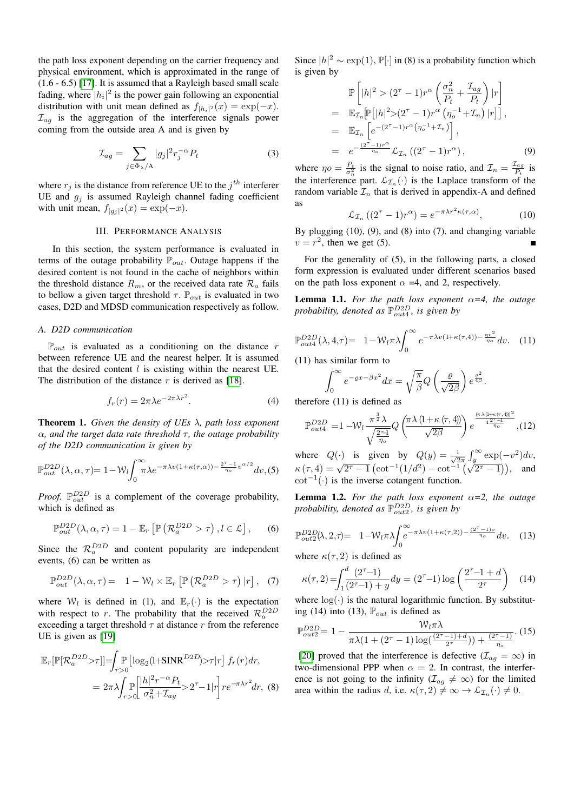the path loss exponent depending on the carrier frequency and physical environment, which is approximated in the range of (1.6 - 6.5) [\[17\]](#page-6-15). It is assumed that a Rayleigh based small scale fading, where  $|h_i|^2$  is the power gain following an exponential distribution with unit mean defined as  $f_{|h_i|^2}(x) = \exp(-x)$ .  $\mathcal{I}_{ag}$  is the aggregation of the interference signals power coming from the outside area A and is given by

$$
\mathcal{I}_{ag} = \sum_{j \in \Phi_{\lambda}/A} |g_j|^2 r_j^{-\alpha} P_t \tag{3}
$$

where  $r_j$  is the distance from reference UE to the  $j<sup>th</sup>$  interferer UE and  $g_j$  is assumed Rayleigh channel fading coefficient with unit mean,  $f_{|g_j|^2}(x) = \exp(-x)$ .

#### III. PERFORMANCE ANALYSIS

In this section, the system performance is evaluated in terms of the outage probability  $\mathbb{P}_{out}$ . Outage happens if the desired content is not found in the cache of neighbors within the threshold distance  $R_m$ , or the received data rate  $\mathcal{R}_a$  fails to bellow a given target threshold  $\tau$ .  $\mathbb{P}_{out}$  is evaluated in two cases, D2D and MDSD communication respectively as follow.

#### *A. D2D communication*

 $\mathbb{P}_{out}$  is evaluated as a conditioning on the distance r between reference UE and the nearest helper. It is assumed that the desired content  $l$  is existing within the nearest UE. The distribution of the distance  $r$  is derived as [\[18\]](#page-6-16).

$$
f_r(r) = 2\pi\lambda e^{-2\pi\lambda r^2}.
$$
 (4)

Theorem 1. *Given the density of UEs* λ*, path loss exponent*  $\alpha$ *, and the target data rate threshold*  $\tau$ *, the outage probability of the D2D communication is given by*

$$
\mathbb{P}_{out}^{D2D}(\lambda, \alpha, \tau) = 1 - W_l \int_0^\infty \pi \lambda e^{-\pi \lambda v (1 + \kappa(\tau, \alpha)) - \frac{2^{\tau} - 1}{\eta_o} v^{\alpha/2}} dv, (5)
$$

*Proof.*  $\mathbb{P}_{out}^{D2D}$  is a complement of the coverage probability, which is defined as

$$
\mathbb{P}_{out}^{D2D}(\lambda, \alpha, \tau) = 1 - \mathbb{E}_r \left[ \mathbb{P} \left( \mathcal{R}_a^{D2D} > \tau \right), l \in \mathcal{L} \right], \qquad (6)
$$

Since the  $\mathcal{R}_a^{D2D}$  and content popularity are independent events, (6) can be written as

$$
\mathbb{P}_{out}^{D2D}(\lambda, \alpha, \tau) = 1 - \mathcal{W}_l \times \mathbb{E}_r \left[ \mathbb{P} \left( \mathcal{R}_a^{D2D} > \tau \right) | r \right], \quad (7)
$$

where  $W_l$  is defined in (1), and  $\mathbb{E}_r(\cdot)$  is the expectation with respect to r. The probability that the received  $\mathcal{R}_a^{D2D}$ exceeding a target threshold  $\tau$  at distance r from the reference UE is given as [\[19\]](#page-6-17)

$$
\mathbb{E}_{r}[\mathbb{P}[\mathcal{R}_{a}^{D2D}>\tau]] = \int_{r>0} \mathbb{P}\left[\log_{2}(1+\text{SINR}^{D2D})>\tau|r\right] f_{r}(r) dr,
$$
  
=  $2\pi \lambda \int_{r>0} \mathbb{P}\left[\frac{|h|^{2}r^{-\alpha}P_{t}}{\sigma_{n}^{2} + \mathcal{I}_{ag}} > 2^{\tau} - 1|r\right] r e^{-\pi \lambda r^{2}} dr,$  (8)

Since  $|h|^2 \sim \exp(1)$ ,  $\mathbb{P}[\cdot]$  in (8) is a probability function which is given by

$$
\mathbb{P}\left[|h|^2 > (2^{\tau} - 1)r^{\alpha}\left(\frac{\sigma_n^2}{P_t} + \frac{\mathcal{I}_{ag}}{P_t}\right)|r\right]
$$
\n
$$
= \mathbb{E}_{\mathcal{I}_n}[\mathbb{P}\left[|h|^2 > (2^{\tau} - 1)r^{\alpha}\left(\eta_o^{-1} + \mathcal{I}_n\right)|r\right],
$$
\n
$$
= \mathbb{E}_{\mathcal{I}_n}\left[e^{-(2^{\tau} - 1)r^{\alpha}\left(\eta_o^{-1} + \mathcal{I}_n\right)}\right],
$$
\n
$$
= e^{-\frac{(2^{\tau} - 1)r^{\alpha}}{\eta_o}} \mathcal{L}_{\mathcal{I}_n}\left((2^{\tau} - 1)r^{\alpha}\right),
$$
\n(9)

where  $\eta o = \frac{P_t}{\sigma_n^2}$  is the signal to noise ratio, and  $\mathcal{I}_n = \frac{\mathcal{I}_{ag}}{P_t}$  is the interference part.  $\mathcal{L}_{\mathcal{I}_n}(\cdot)$  is the Laplace transform of the random variable  $\mathcal{I}_n$  that is derived in appendix-A and defined as

$$
\mathcal{L}_{\mathcal{I}_n} \left( (2^{\tau} - 1) r^{\alpha} \right) = e^{-\pi \lambda r^2 \kappa(\tau, \alpha)}, \tag{10}
$$

By plugging (10), (9), and (8) into (7), and changing variable  $v = r^2$ , then we get (5).

For the generality of (5), in the following parts, a closed form expression is evaluated under different scenarios based on the path loss exponent  $\alpha = 4$ , and 2, respectively.

**Lemma 1.1.** For the path loss exponent  $\alpha=4$ , the outage probability, denoted as  $\mathbb{P}_{out4}^{D2D}$ , is given by

$$
\mathbb{P}_{out4}^{D2D}(\lambda, 4, \tau) = 1 - \mathcal{W}_l \pi \lambda \int_0^\infty e^{-\pi \lambda v (1 + \kappa(\tau, 4)) - \frac{\eta v^2}{\eta_o}} dv. \quad (11)
$$

(11) has similar form to

$$
\int_0^\infty e^{-\varrho x - \beta x^2} dx = \sqrt{\frac{\pi}{\beta}} Q\left(\frac{\varrho}{\sqrt{2\beta}}\right) e^{\frac{\varrho^2}{4\beta}}.
$$

therefore (11) is defined as

$$
\mathbb{P}_{out4}^{D2D} = 1 - \mathcal{W}_l \frac{\pi^{\frac{3}{2}} \lambda}{\sqrt{\frac{2^{\tau} 1}{\eta_o}}} Q\left(\frac{\pi \lambda \left(1 + \kappa \left(\tau, 4\right)\right)}{\sqrt{2\beta}}\right) e^{\frac{\left(\pi \lambda \left(1 + \kappa \left(\tau, 4\right)\right)\right)^2}{4 \frac{2^{\tau} 1}{\eta_o}}}, (12)
$$

where  $Q(\cdot)$  is given by  $Q(y) = \frac{1}{\sqrt{2}}$  $\frac{1}{2\pi} \int_{y}^{\infty} \exp(-v^2) dv,$  $\kappa(\tau, 4) = \sqrt{2^{\tau} - 1} \left( \cot^{-1}(1/d^2) - \cot^{-1}(1/d^2) - \cot^{-1}(\sqrt{2^{\tau} - 1}) \right),$  and  $\cot^{-1}(\cdot)$  is the inverse cotangent function.

**Lemma 1.2.** For the path loss exponent  $\alpha=2$ , the outage probability, denoted as  $\mathbb{P}_{out2}^{D2D}$ , is given by

$$
\mathbb{P}_{out2}^{D2D}(\lambda,2,\tau) = 1 - \mathcal{W}_l \pi \lambda \int_0^\infty e^{-\pi \lambda v (1 + \kappa(\tau,2)) - \frac{(2^\tau - 1)v}{\eta_o}} dv. \quad (13)
$$

where  $\kappa(\tau, 2)$  is defined as

$$
\kappa(\tau, 2) = \int_1^d \frac{(2^{\tau} - 1)}{(2^{\tau} - 1) + y} dy = (2^{\tau} - 1) \log \left( \frac{2^{\tau} - 1 + d}{2^{\tau}} \right) \tag{14}
$$

where  $log(·)$  is the natural logarithmic function. By substituting (14) into (13),  $\mathbb{P}_{out}$  is defined as

$$
\mathbb{P}_{out2}^{D2D} = 1 - \frac{W_l \pi \lambda}{\pi \lambda (1 + (2^{\tau} - 1) \log(\frac{(2^{\tau} - 1) + d}{2^{\tau}})) + \frac{(2^{\tau} - 1)}{\eta_o}}. (15)
$$

[\[20\]](#page-6-18) proved that the interference is defective ( $\mathcal{I}_{ag} = \infty$ ) in two-dimensional PPP when  $\alpha = 2$ . In contrast, the interference is not going to the infinity ( $\mathcal{I}_{ag} \neq \infty$ ) for the limited area within the radius d, i.e.  $\kappa(\tau, 2) \neq \infty \to \mathcal{L}_{\mathcal{I}_n}(\cdot) \neq 0$ .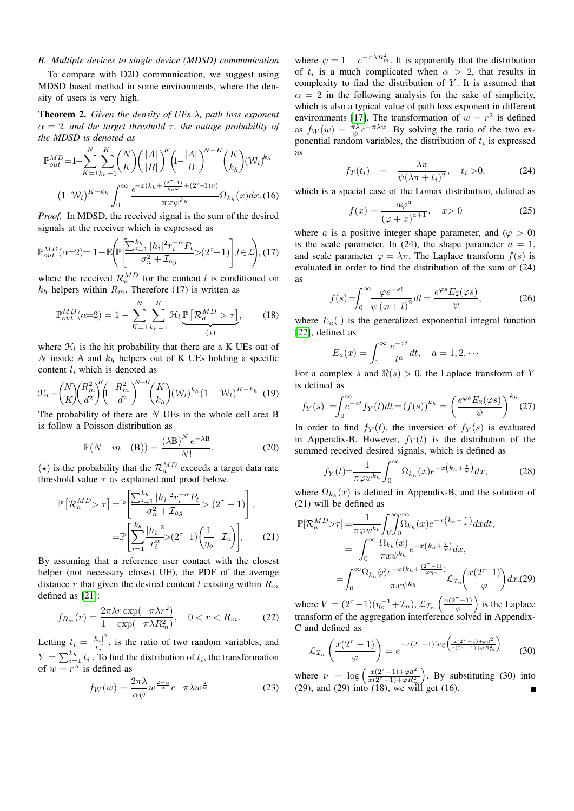#### *B. Multiple devices to single device (MDSD) communication*

To compare with D2D communication, we suggest using MDSD based method in some environments, where the density of users is very high.

Theorem 2. *Given the density of UEs* λ*, path loss exponent*  $\alpha = 2$ , and the target threshold  $\tau$ , the outage probability of *the MDSD is denoted as*

$$
\mathbb{P}_{out}^{MD} = 1 - \sum_{K=1}^{N} \sum_{k_{h}=1}^{K} {N \choose K} \left(\frac{|A|}{|B|}\right)^K \left(1 - \frac{|A|}{|B|}\right)^{N-K} {K \choose k_{h}} (\mathcal{W}_{l})^{k_{h}}
$$

$$
(1 - \mathcal{W}_{l})^{K-k_{h}} \int_{0}^{\infty} \frac{e^{-x(k_{h} + \frac{(2^{T}-1)}{\eta_{o}\varphi} + (2^{T}-1)\nu)}}{\pi x \psi^{k_{h}}} \Omega_{k_{h}}(x) dx. (16)
$$

*Proof.* In MDSD, the received signal is the sum of the desired signals at the receiver which is expressed as

$$
\mathbb{P}_{out}^{MD}(\alpha=2)=1-\mathbb{E}\Bigg(\!\!\mathbb{P}\Bigg[\!\!\frac{\sum_{i=1}^{k_h}|h_i|^2r_i^{-\alpha}P_t}{\sigma_n^2+\mathcal{I}_{ag}}\!\!>\!(2^{\tau}-1)\Bigg], l\!\in\!\mathcal{L}\!\!\Bigg), (17)
$$

where the received  $\mathcal{R}_a^{MD}$  for the content l is conditioned on  $k_h$  helpers within  $R_m$ . Therefore (17) is written as

$$
\mathbb{P}_{out}^{MD}(\alpha=2) = 1 - \sum_{K=1}^{N} \sum_{k_h=1}^{K} \mathcal{H}_l \underbrace{\mathbb{P}\left[\mathcal{R}_a^{MD} > \tau\right]}_{(\star)},\tag{18}
$$

where  $\mathcal{H}_l$  is the hit probability that there are a K UEs out of N inside A and  $k_h$  helpers out of K UEs holding a specific content  $l$ , which is denoted as

$$
\mathcal{H}_{l} = {N \choose K} {R_{m}^{2} \choose \bar{d}^{2}}^{K} \left( -{R_{m}^{2} \over d^{2}} \right)^{N-K} {K \choose k_{h}} (\mathcal{W}_{l})^{k_{h}} (1 - \mathcal{W}_{l})^{K-k_{h}} \tag{19}
$$

The probability of there are  $N$  UEs in the whole cell area B is follow a Poisson distribution as

$$
\mathbb{P}(N \quad in \quad (\mathbf{B})) = \frac{(\lambda \mathbf{B})^N e^{-\lambda \mathbf{B}}}{N!}.
$$
 (20)

( $\star$ ) is the probability that the  $\mathcal{R}_a^{MD}$  exceeds a target data rate threshold value  $\tau$  as explained and proof below.

$$
\mathbb{P}\left[\mathcal{R}_{a}^{MD} > \tau\right] = \mathbb{P}\left[\frac{\sum_{i=1}^{k_{h}} |h_{i}|^{2} r_{i}^{-\alpha} P_{t}}{\sigma_{n}^{2} + \mathcal{I}_{ag}} > (2^{\tau} - 1)\right],
$$

$$
= \mathbb{P}\left[\sum_{i=1}^{k_{h}} \frac{|h_{i}|^{2}}{r_{i}^{\alpha}} > (2^{\tau} - 1)\left(\frac{1}{\eta_{o}} + \mathcal{I}_{n}\right)\right], \qquad (21)
$$

By assuming that a reference user contact with the closest helper (not necessary closest UE), the PDF of the average distance r that given the desired content  $l$  existing within  $R_m$ defined as [\[21\]](#page-6-19):

$$
f_{R_m}(r) = \frac{2\pi\lambda r \exp(-\pi\lambda r^2)}{1 - \exp(-\pi\lambda R_m^2)}, \quad 0 < r < R_m. \tag{22}
$$

Letting  $t_i = \frac{|h_i|^2}{r_i^{\alpha}}$  $\frac{n_{i}}{r_i^{\alpha}}$ , is the ratio of two random variables, and  $Y = \sum_{i=1}^{k_h} t_i$ . To find the distribution of  $t_i$ , the transformation of  $w = r^{\alpha}$  is defined as

$$
f_W(w) = \frac{2\pi\lambda}{\alpha\psi} w^{\frac{2-\alpha}{\alpha}} e^{-\pi\lambda w^{\frac{2}{\alpha}}}
$$
 (23)

<span id="page-4-0"></span>where  $\psi = 1 - e^{-\pi \lambda R_m^2}$ . It is apparently that the distribution of  $t_i$  is a much complicated when  $\alpha > 2$ , that results in complexity to find the distribution of  $Y$ . It is assumed that  $\alpha = 2$  in the following analysis for the sake of simplicity, which is also a typical value of path loss exponent in different environments [\[17\]](#page-6-15). The transformation of  $w = r^2$  is defined as  $f_W(w) = \frac{\pi \lambda}{\psi} e^{-\pi \lambda w}$ . By solving the ratio of the two exponential random variables, the distribution of  $t_i$  is expressed as

$$
f_T(t_i) = \frac{\lambda \pi}{\psi(\lambda \pi + t_i)^2}, \quad t_i > 0. \tag{24}
$$

which is a special case of the Lomax distribution, defined as

$$
f(x) = \frac{a\varphi^a}{\left(\varphi + x\right)^{a+1}}, \quad x > 0 \tag{25}
$$

where a is a positive integer shape parameter, and  $(\varphi > 0)$ is the scale parameter. In (24), the shape parameter  $a = 1$ , and scale parameter  $\varphi = \lambda \pi$ . The Laplace transform  $f(s)$  is evaluated in order to find the distribution of the sum of (24) as

<span id="page-4-1"></span>
$$
f(s) = \int_0^\infty \frac{\varphi e^{-st}}{\psi(\varphi + t)^2} dt = \frac{e^{\varphi s} E_2(\varphi s)}{\psi},\tag{26}
$$

where  $E_a(\cdot)$  is the generalized exponential integral function [\[22\]](#page-6-20), defined as

$$
E_a(x) = \int_1^{\infty} \frac{e^{-xt}}{t^a} dt, \quad a = 1, 2, \cdots
$$

For a complex s and  $\Re(s) > 0$ , the Laplace transform of Y is defined as

$$
f_Y(s) = \int_0^\infty e^{-st} f_Y(t) dt = (f(s))^{k_h} = \left(\frac{e^{\varphi s} E_2(\varphi s)}{\psi}\right)^{k_h} (27)
$$

In order to find  $f_Y(t)$ , the inversion of  $f_Y(s)$  is evaluated in Appendix-B. However,  $f_Y(t)$  is the distribution of the summed received desired signals, which is defined as

$$
f_Y(t) = \frac{1}{\pi \varphi \psi^{k_h}} \int_0^\infty \Omega_{k_h}(x) e^{-x \left(k_h + \frac{t}{\varphi}\right)} dx, \tag{28}
$$

where  $\Omega_{k_h}(x)$  is defined in Appendix-B, and the solution of (21) will be defined as

<span id="page-4-2"></span>
$$
\mathbb{P}[\mathcal{R}_a^{MD} > \tau] = \frac{1}{\pi \varphi \psi^{k_h}} \int_V \int_0^{\infty} \Omega_{k_h}(x) e^{-x(k_h + \frac{t}{\varphi})} dx dt,
$$
  
\n
$$
= \int_0^{\infty} \frac{\Omega_{k_h}(x)}{\pi x \psi^{k_h}} e^{-x(k_h + \frac{V}{\varphi})} dx,
$$
  
\n
$$
= \int_0^{\infty} \frac{\Omega_{k_h}(x) e^{-x(k_h + \frac{(2^{\tau} - 1)}{\varphi})}}{\pi x \psi^{k_h}} \mathcal{L}_{\mathcal{I}_n}\left(\frac{x(2^{\tau} - 1)}{\varphi}\right) dx, (29)
$$

where  $V = (2^{\tau} - 1)(\eta_o^{-1} + \mathcal{I}_n)$ ,  $\mathcal{L}_{\mathcal{I}_n} \left( \frac{x(2^{\tau} - 1)}{\varphi} \right)$  is the Laplace transform of the aggregation interference solved in Appendix-C and defined as

$$
\mathcal{L}_{\mathcal{I}_n} \left( \frac{x(2^{\tau} - 1)}{\varphi} \right) = e^{-x(2^{\tau} - 1) \log \left( \frac{x(2^{\tau} - 1) + \varphi d^2}{x(2^{\tau} - 1) + \varphi R_m^2} \right)} \tag{30}
$$

where  $\nu = \log \left( \frac{x(2^{\tau} - 1) + \varphi d^2}{x(2^{\tau} - 1) + \varphi R^2} \right)$  $\overline{x(2^{\tau}-1)+\varphi R_m^2}$  . By substituting (30) into (29), and (29) into  $(18)$ , we will get  $(16)$ .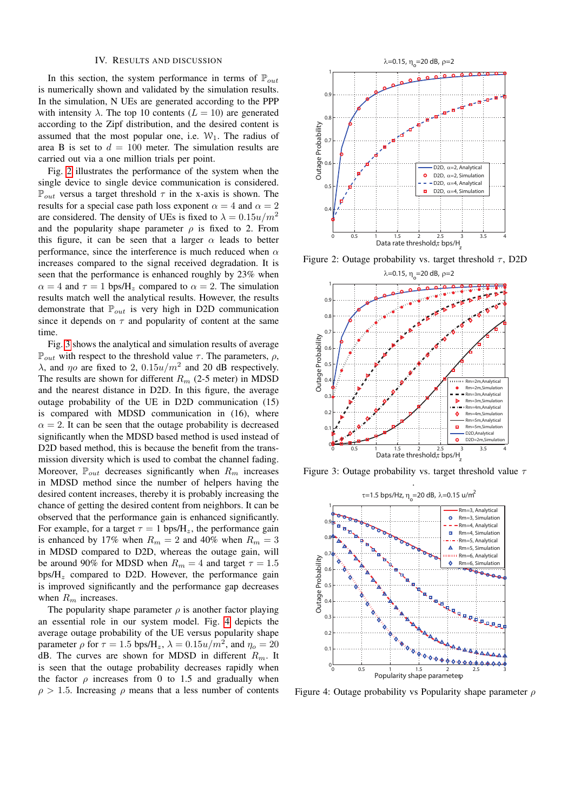#### IV. RESULTS AND DISCUSSION

In this section, the system performance in terms of  $\mathbb{P}_{out}$ is numerically shown and validated by the simulation results. In the simulation, N UEs are generated according to the PPP with intensity  $\lambda$ . The top 10 contents ( $L = 10$ ) are generated according to the Zipf distribution, and the desired content is assumed that the most popular one, i.e.  $W_1$ . The radius of area B is set to  $d = 100$  meter. The simulation results are carried out via a one million trials per point.

Fig. [2](#page-4-0) illustrates the performance of the system when the single device to single device communication is considered.  $\mathbb{P}_{out}$  versus a target threshold  $\tau$  in the x-axis is shown. The results for a special case path loss exponent  $\alpha = 4$  and  $\alpha = 2$ are considered. The density of UEs is fixed to  $\lambda = 0.15u/m^2$ and the popularity shape parameter  $\rho$  is fixed to 2. From this figure, it can be seen that a larger  $\alpha$  leads to better performance, since the interference is much reduced when  $\alpha$ increases compared to the signal received degradation. It is seen that the performance is enhanced roughly by 23% when  $\alpha = 4$  and  $\tau = 1$  bps/H<sub>z</sub> compared to  $\alpha = 2$ . The simulation results match well the analytical results. However, the results demonstrate that  $\mathbb{P}_{out}$  is very high in D2D communication since it depends on  $\tau$  and popularity of content at the same time.

Fig. [3](#page-4-1) shows the analytical and simulation results of average  $\mathbb{P}_{out}$  with respect to the threshold value  $\tau$ . The parameters,  $\rho$ , λ, and  $η$  are fixed to 2, 0.15 $u/m^2$  and 20 dB respectively. The results are shown for different  $R_m$  (2-5 meter) in MDSD and the nearest distance in D2D. In this figure, the average outage probability of the UE in D2D communication (15) is compared with MDSD communication in (16), where  $\alpha = 2$ . It can be seen that the outage probability is decreased significantly when the MDSD based method is used instead of D2D based method, this is because the benefit from the transmission diversity which is used to combat the channel fading. Moreover,  $\mathbb{P}_{out}$  decreases significantly when  $R_m$  increases in MDSD method since the number of helpers having the desired content increases, thereby it is probably increasing the chance of getting the desired content from neighbors. It can be observed that the performance gain is enhanced significantly. For example, for a target  $\tau = 1$  bps/H<sub>z</sub>, the performance gain is enhanced by 17% when  $R_m = 2$  and 40% when  $R_m = 3$ in MDSD compared to D2D, whereas the outage gain, will be around 90% for MDSD when  $R_m = 4$  and target  $\tau = 1.5$  $bps/H<sub>z</sub>$  compared to D2D. However, the performance gain is improved significantly and the performance gap decreases when  $R_m$  increases.

The popularity shape parameter  $\rho$  is another factor playing an essential role in our system model. Fig. [4](#page-4-2) depicts the average outage probability of the UE versus popularity shape parameter  $\rho$  for  $\tau = 1.5$  bps/H<sub>z</sub>,  $\lambda = 0.15u/m^2$ , and  $\eta_o = 20$ dB. The curves are shown for MDSD in different  $R_m$ . It is seen that the outage probability decreases rapidly when the factor  $\rho$  increases from 0 to 1.5 and gradually when  $\rho > 1.5$ . Increasing  $\rho$  means that a less number of contents



Figure 2: Outage probability vs. target threshold  $\tau$ , D2D



Figure 3: Outage probability vs. target threshold value  $\tau$ 

<span id="page-5-0"></span>

Figure 4: Outage probability vs Popularity shape parameter  $\rho$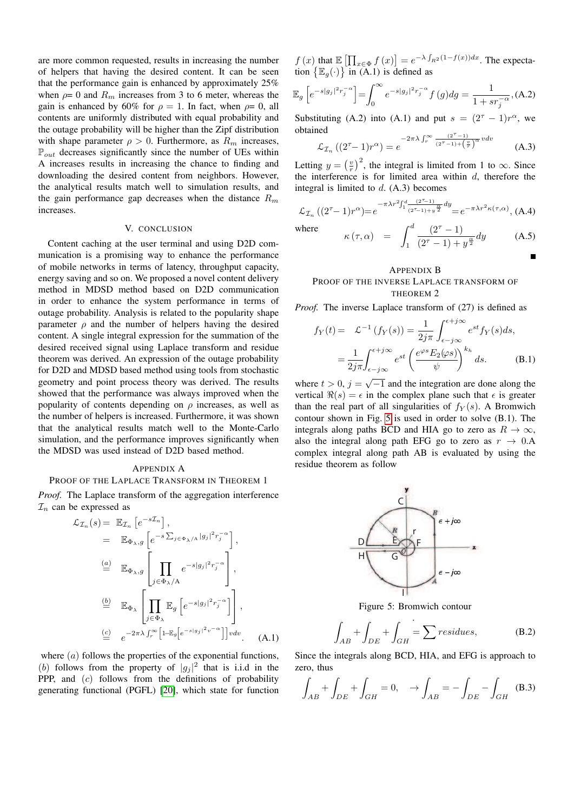are more common requested, results in increasing the number of helpers that having the desired content. It can be seen that the performance gain is enhanced by approximately 25% when  $\rho = 0$  and  $R_m$  increases from 3 to 6 meter, whereas the gain is enhanced by 60% for  $\rho = 1$ . In fact, when  $\rho = 0$ , all contents are uniformly distributed with equal probability and the outage probability will be higher than the Zipf distribution with shape parameter  $\rho > 0$ . Furthermore, as  $R_m$  increases,  $\mathbb{P}_{out}$  decreases significantly since the number of UEs within A increases results in increasing the chance to finding and downloading the desired content from neighbors. However, the analytical results match well to simulation results, and the gain performance gap decreases when the distance  $R_m$ increases.

#### V. CONCLUSION

Content caching at the user terminal and using D2D communication is a promising way to enhance the performance of mobile networks in terms of latency, throughput capacity, energy saving and so on. We proposed a novel content delivery method in MDSD method based on D2D communication in order to enhance the system performance in terms of outage probability. Analysis is related to the popularity shape parameter  $\rho$  and the number of helpers having the desired content. A single integral expression for the summation of the desired received signal using Laplace transform and residue theorem was derived. An expression of the outage probability for D2D and MDSD based method using tools from stochastic geometry and point process theory was derived. The results showed that the performance was always improved when the popularity of contents depending on  $\rho$  increases, as well as the number of helpers is increased. Furthermore, it was shown that the analytical results match well to the Monte-Carlo simulation, and the performance improves significantly when the MDSD was used instead of D2D based method.

#### APPENDIX A

#### PROOF OF THE LAPLACE TRANSFORM IN THEOREM 1

*Proof.* The Laplace transform of the aggregation interference  $\mathcal{I}_n$  can be expressed as

$$
\mathcal{L}_{\mathcal{I}_n}(s) = \mathbb{E}_{\mathcal{I}_n} \left[ e^{-s\mathcal{I}_n} \right],
$$
\n
$$
= \mathbb{E}_{\Phi_{\lambda},g} \left[ e^{-s\sum_{j \in \Phi_{\lambda}/A} |g_j|^2 r_j^{-\alpha}} \right],
$$
\n
$$
\stackrel{(a)}{=} \mathbb{E}_{\Phi_{\lambda},g} \left[ \prod_{j \in \Phi_{\lambda}/A} e^{-s|g_j|^2 r_j^{-\alpha}} \right],
$$
\n
$$
\stackrel{(b)}{=} \mathbb{E}_{\Phi_{\lambda}} \left[ \prod_{j \in \Phi_{\lambda}} \mathbb{E}_{g} \left[ e^{-s|g_j|^2 r_j^{-\alpha}} \right] \right],
$$
\n
$$
\stackrel{(c)}{=} e^{-2\pi\lambda \int_{r}^{\infty} \left[ 1 - \mathbb{E}_{g} \left[ e^{-s|g_j|^2 v^{-\alpha}} \right] \right] v dv}.
$$
\n(A.1)

where  $(a)$  follows the properties of the exponential functions, (b) follows from the property of  $|g_j|^2$  that is i.i.d in the PPP, and (c) follows from the definitions of probability generating functional (PGFL) [\[20\]](#page-6-18), which state for function  $f(x)$  that  $\mathbb{E} \left[ \prod_{x \in \Phi} f(x) \right] = e^{-\lambda \int_{R^2} (1 - f(x)) dx}$ . The expectation  $\left\{\mathbb{E}_g(\cdot)\right\}$  in (A.1) is defined as

$$
\mathbb{E}_{g}\left[e^{-s|g_{j}|^{2}r_{j}^{-\alpha}}\right] = \int_{0}^{\infty} e^{-s|g_{j}|^{2}r_{j}^{-\alpha}} f(g) dg = \frac{1}{1 + sr_{j}^{-\alpha}}, (A.2)
$$

<span id="page-6-0"></span>Substituting (A.2) into (A.1) and put  $s = (2^{\tau} - 1)r^{\alpha}$ , we obtained  $(2^{\tau}-1)$ 

$$
\mathcal{L}_{\mathcal{I}_n} \left( (2^{\tau} - 1) r^{\alpha} \right) = e^{-2\pi \lambda \int_r^{\infty} \frac{(2^{\tau} - 1)}{(2^{\tau} - 1) + \left(\frac{v}{r}\right)^{\alpha} v dv}} \tag{A.3}
$$

<span id="page-6-2"></span><span id="page-6-1"></span>Letting  $y = \left(\frac{v}{r}\right)^2$ , the integral is limited from 1 to  $\infty$ . Since the interference is for limited area within  $d$ , therefore the integral is limited to  $d$ . (A.3) becomes

<span id="page-6-3"></span>
$$
\mathcal{L}_{\mathcal{I}_n} \left( (2^{\tau} - 1) r^{\alpha} \right) = e^{-\pi \lambda r^2 \int_1^d \frac{(2^{\tau} - 1)}{(2^{\tau} - 1) + y^{\frac{\alpha}{2}}}} dy} = e^{-\pi \lambda r^2 \kappa(\tau, \alpha)}, \text{(A.4)}
$$

<span id="page-6-4"></span>where

$$
\kappa(\tau,\alpha) = \int_1^d \frac{(2^{\tau} - 1)}{(2^{\tau} - 1) + y^{\frac{\alpha}{2}}} dy \qquad (A.5)
$$

#### <span id="page-6-6"></span><span id="page-6-5"></span>APPENDIX B PROOF OF THE INVERSE LAPLACE TRANSFORM OF THEOREM 2

<span id="page-6-7"></span>*Proof.* The inverse Laplace transform of (27) is defined as

<span id="page-6-8"></span>
$$
f_Y(t) = \mathcal{L}^{-1}(f_Y(s)) = \frac{1}{2j\pi} \int_{\epsilon - j\infty}^{\epsilon + j\infty} e^{st} f_Y(s) ds,
$$
  

$$
= \frac{1}{2j\pi} \int_{\epsilon - j\infty}^{\epsilon + j\infty} e^{st} \left(\frac{e^{\varphi s} E_2(\varphi s)}{\psi}\right)^{k_h} ds.
$$
(B.1)

<span id="page-6-10"></span><span id="page-6-9"></span>where  $t > 0$ ,  $j = \sqrt{-1}$  and the integration are done along the vertical  $\Re(s) = \epsilon$  in the complex plane such that  $\epsilon$  is greater than the real part of all singularities of  $f_Y(s)$ . A Bromwich contour shown in Fig. [5](#page-5-0) is used in order to solve (B.1). The integrals along paths BCD and HIA go to zero as  $R \to \infty$ , also the integral along path EFG go to zero as  $r \rightarrow 0.A$ complex integral along path AB is evaluated by using the residue theorem as follow

<span id="page-6-14"></span><span id="page-6-13"></span><span id="page-6-12"></span><span id="page-6-11"></span>

Figure 5: Bromwich contour

<span id="page-6-17"></span><span id="page-6-16"></span><span id="page-6-15"></span>
$$
\int_{AB} + \int_{DE} + \int_{GH} = \sum resistues,
$$
 (B.2)

<span id="page-6-19"></span><span id="page-6-18"></span>Since the integrals along BCD, HIA, and EFG is approach to zero, thus

<span id="page-6-20"></span>
$$
\int_{AB} + \int_{DE} + \int_{GH} = 0, \quad \to \int_{AB} = -\int_{DE} - \int_{GH} \quad (B.3)
$$